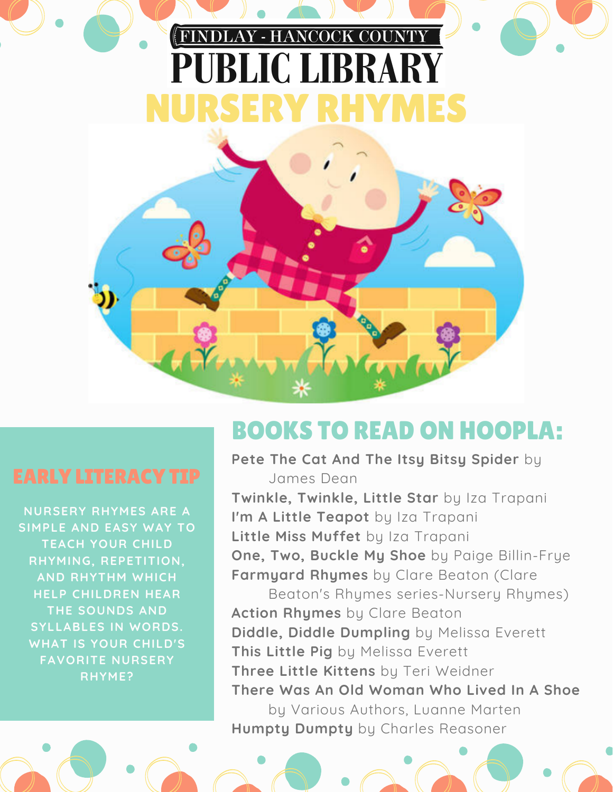# FINDLAY - HANCOCK COUNTY PUBLIC LIBRARY NURSERY RHYMES



**NURSERY RHYMES ARE A SIMPLE AND EASY WAY TO TEACH YOUR CHILD RHYMING, REPETITION, AND RHYTHM WHICH HELP CHILDREN HEAR THE SOUNDS AND SYLLABLES IN WORDS. WHAT IS YOUR CHILD'S FAVORITE NURSERY RHYME?**

## BOOKS TO READ ON HOOPLA:

**Pete The Cat And The Itsy Bitsy Spider** by James Dean

**Twinkle, Twinkle, Little Star** by Iza Trapani **I'm A Little Teapot** by Iza Trapani **Little Miss Muffet** by Iza Trapani **One, Two, Buckle My Shoe** by Paige Billin-Frye **Farmyard Rhymes** by Clare Beaton (Clare

Beaton's Rhymes series-Nursery Rhymes) **Action Rhymes** by Clare Beaton **Diddle, Diddle Dumpling** by Melissa Everett **This Little Pig** by Melissa Everett **Three Little Kittens** by Teri Weidner **There Was An Old Woman Who Lived In A Shoe**

by Various Authors, Luanne Marten **Humpty Dumpty** by Charles Reasoner